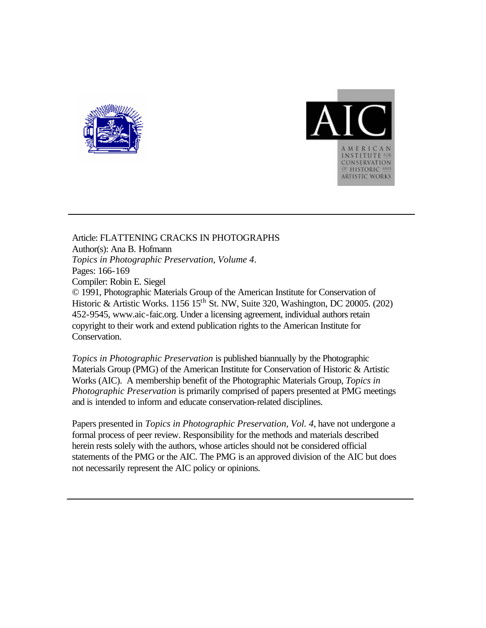



Article: FLATTENING CRACKS IN PHOTOGRAPHS Author(s): Ana B. Hofmann *Topics in Photographic Preservation, Volume 4*. Pages: 166-169 Compiler: Robin E. Siegel © 1991, Photographic Materials Group of the American Institute for Conservation of Historic & Artistic Works. 1156  $15<sup>th</sup>$  St. NW, Suite 320, Washington, DC 20005. (202) 452-9545, www.aic-faic.org. Under a licensing agreement, individual authors retain copyright to their work and extend publication rights to the American Institute for Conservation.

*Topics in Photographic Preservation* is published biannually by the Photographic Materials Group (PMG) of the American Institute for Conservation of Historic & Artistic Works (AIC). A membership benefit of the Photographic Materials Group, *Topics in Photographic Preservation* is primarily comprised of papers presented at PMG meetings and is intended to inform and educate conservation-related disciplines.

Papers presented in *Topics in Photographic Preservation, Vol. 4*, have not undergone a formal process of peer review. Responsibility for the methods and materials described herein rests solely with the authors, whose articles should not be considered official statements of the PMG or the AIC. The PMG is an approved division of the AIC but does not necessarily represent the AIC policy or opinions.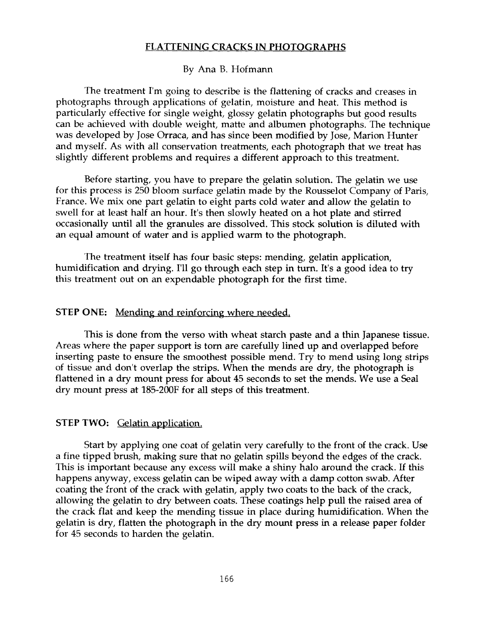# **FLATTENING CRACKS IN PHOTOGRAPHS**

# By Ana B. Hofmann

The treatment I'm going to describe is the flattening of cracks and creases in photographs through applications of gelatin, moisture and heat. This method is particularly effective for single weight, glossy gelatin photographs but good results can be achieved with double weight, matte and albumen photographs. The technique was developed by Jose Orraca, and has since been modified by Jose, Marion Hunter and myself. **As** with all conservation treatments, each photograph that we treat has slightly different problems and requires a different approach to this treatment.

Before starting, you have to prepare the gelatin solution. The gelatin we use for this process is 250 bloom surface gelatin made by the Rousselot Company of Paris, France. We mix one part gelatin to eight parts cold water and allow the gelatin to swell for at least half an hour. It's then slowly heated on a hot plate and stirred occasionally until all the granules are dissolved. This stock solution is diluted with an equal amount of water and is applied warm to the photograph.

The treatment itself has four basic steps: mending, gelatin application, humidification and drying. I'll go through each step in turn. It's a good idea to try this treatment out on an expendable photograph for the first time.

### **STEP ONE:** Mending and reinforcing where needed.

This is done from the verso with wheat starch paste and a thin Japanese tissue. Areas where the paper support is torn are carefully lined up and overlapped before inserting paste to ensure the smoothest possible mend. Try to mend using long strips of tissue and don't overlap the strips. When the mends are dry, the photograph is flattened in a *dry* mount press for about **45** seconds to set the mends. We use **a** Seal dry mount press at 185-200F for all steps of this treatment.

## **STEP TWO:** Gelatin application.

Start by applying one coat of gelatin very carefully to the front of the crack. Use a fine tipped brush, making sure that no gelatin spills beyond the edges of the crack. This is important because any excess will make a shiny halo around the crack. If this happens anyway, excess gelatin can be wiped away with a damp cotton swab. After coating the front of the crack with gelatin, apply two coats to the back **of** the crack, allowing the gelatin to dry between coats. These coatings help pull the raised area of the crack flat and keep the mending tissue in place during humidification. When the gelatin is dry, flatten the photograph in the dry mount press in a release paper folder for **45** seconds to harden the gelatin.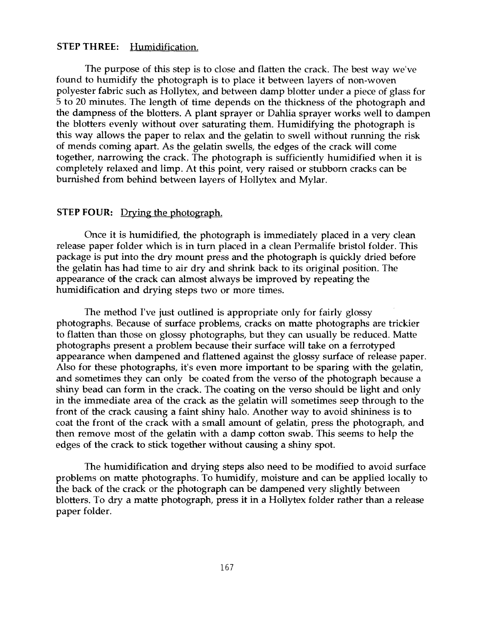# **STEP THREE:** Humidification.

The purpose of this step is to close and flatten the crack. The best way we've found to humidify the photograph is to place it between layers of non-woven polyester fabric such as Hollytex, and between damp blotter under a piece of glass for 5 to 20 minutes. The length of time depends on the thickness of the photograph and the dampness of the blotters. A plant sprayer or Dahlia sprayer works well to dampen the blotters evenly without over saturating them. Humidifying the photograph is this way allows the paper to relax and the gelatin to swell without running the risk of mends coming apart. **As** the gelatin swells, the edges of the crack will come together, narrowing the crack. The photograph is sufficiently humidified when it is completely relaxed and limp. At this point, very raised or stubborn cracks can be burnished from behind between layers of Hollytex and Mylar.

## **STEP FOUR:** Drving the photograph.

Once it is humidified, the photograph is immediately placed in a very clean release paper folder which is in **turn** placed in a clean Permalife bristol folder. This package is put into the dry mount press and the photograph is quickly dried before the gelatin has had time to air dry and shrink back to its original position. The appearance of the crack can almost always be improved by repeating the humidification and drying steps two or more times.

The method I've just outlined is appropriate only for fairly glossy photographs. Because of surface problems, cracks on matte photographs are trickier to flatten than those on glossy photographs, but they can usually be reduced. Matte photographs present a problem because their surface will take on a ferrotyped appearance when dampened and flattened against the glossy surface of release paper. Also for these photographs, it's even more important to be sparing with the gelatin, and sometimes they can only be coated from the verso of the photograph because a shiny bead can form in the crack. The coating on the verso should be light and only in the immediate area of the crack as the gelatin will sometimes seep through to the front of the crack causing a faint shiny halo. Another way to avoid shininess is to coat the front of the crack with a small amount of gelatin, press the photograph, and then remove most of the gelatin with a damp cotton swab. This seems to help the edges of the crack to stick together without causing a shiny spot.

The humidification and drying steps also need to be modified to avoid surface problems on matte photographs. To humidify, moisture and can be applied locally to the back of the crack or the photograph can be dampened very slightly between blotters. To *dry* a matte photograph, press it in a Hollytex folder rather than a release paper folder.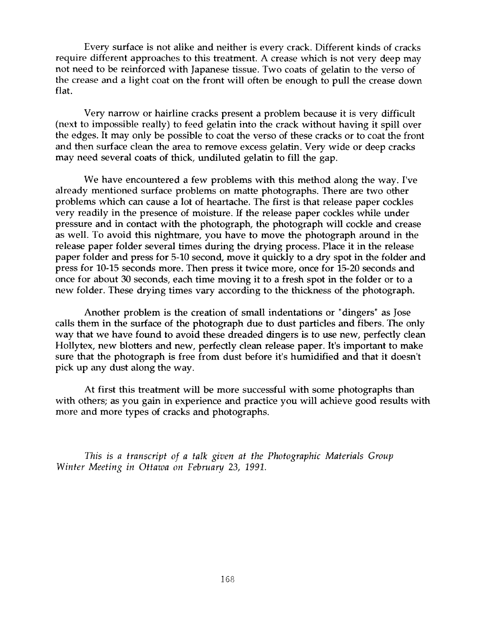Every surface is not alike and neither is every crack. Different kinds of cracks require different approaches to this treatment. **A** crease which is not very deep may not need to be reinforced with Japanese tissue. Two coats of gelatin to the verso of the crease and a light coat on the front will often be enough to pull the crease down flat.

Very narrow or hairline cracks present a problem because it is very difficult (next to impossible really) to feed gelatin into the crack without having it spill over the edges. It may only be possible to coat the verso of these cracks or to coat the front and then surface clean the area to remove excess gelatin. Very wide or deep cracks may need several coats of thick, undiluted gelatin to fill the gap.

We have encountered a few problems with this method along the way. I've already mentioned surface problems on matte photographs. There are two other problems which can cause a lot of heartache. The first is that release paper cockles very readily in the presence of moisture. If the release paper cockles while under pressure and in contact with the photograph, the photograph will cockle and crease as well. To avoid this nightmare, you have to move the photograph around in the release paper folder several times during the drying process. Place it in the release paper folder and press for 5-10 second, move it quickly to a *dry* spot in the folder and press for 10-15 seconds more. Then press it twice more, once for 15-20 seconds and once for about **30** seconds, each time moving it to a fresh spot in the folder or to a new folder. These drying times vary according to the thickness of the photograph.

Another problem is the creation of small indentations or "dingers" as Jose calls them in the surface of the photograph due to dust particles and fibers. The only way that we have found to avoid these dreaded dingers is to use new, perfectly clean Hollytex, new blotters and new, perfectly clean release paper. It's important to make sure that the photograph is free from dust before it's humidified and that it doesn't pick up any dust along the way.

At first this treatment will be more successful with some photographs than with others; as you gain in experience and practice you will achieve good results with more and more types of cracks and photographs.

*This is a transcript* of *a talk given at the Photographic Materials Group Winter Meeting in Ottawa on February 23, 1991.*